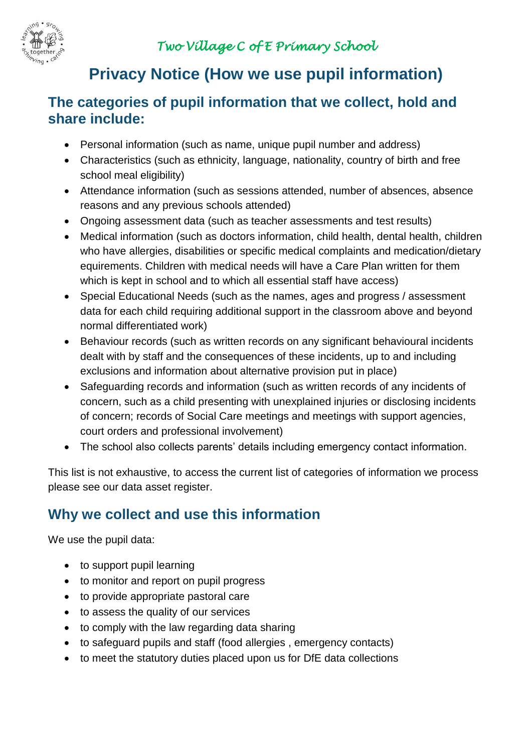

# **Privacy Notice (How we use pupil information)**

### **The categories of pupil information that we collect, hold and share include:**

- Personal information (such as name, unique pupil number and address)
- Characteristics (such as ethnicity, language, nationality, country of birth and free school meal eligibility)
- Attendance information (such as sessions attended, number of absences, absence reasons and any previous schools attended)
- Ongoing assessment data (such as teacher assessments and test results)
- Medical information (such as doctors information, child health, dental health, children who have allergies, disabilities or specific medical complaints and medication/dietary equirements. Children with medical needs will have a Care Plan written for them which is kept in school and to which all essential staff have access)
- Special Educational Needs (such as the names, ages and progress / assessment data for each child requiring additional support in the classroom above and beyond normal differentiated work)
- Behaviour records (such as written records on any significant behavioural incidents dealt with by staff and the consequences of these incidents, up to and including exclusions and information about alternative provision put in place)
- Safeguarding records and information (such as written records of any incidents of concern, such as a child presenting with unexplained injuries or disclosing incidents of concern; records of Social Care meetings and meetings with support agencies, court orders and professional involvement)
- The school also collects parents' details including emergency contact information.

This list is not exhaustive, to access the current list of categories of information we process please see our data asset register.

# **Why we collect and use this information**

We use the pupil data:

- to support pupil learning
- to monitor and report on pupil progress
- to provide appropriate pastoral care
- to assess the quality of our services
- to comply with the law regarding data sharing
- to safeguard pupils and staff (food allergies , emergency contacts)
- to meet the statutory duties placed upon us for DfE data collections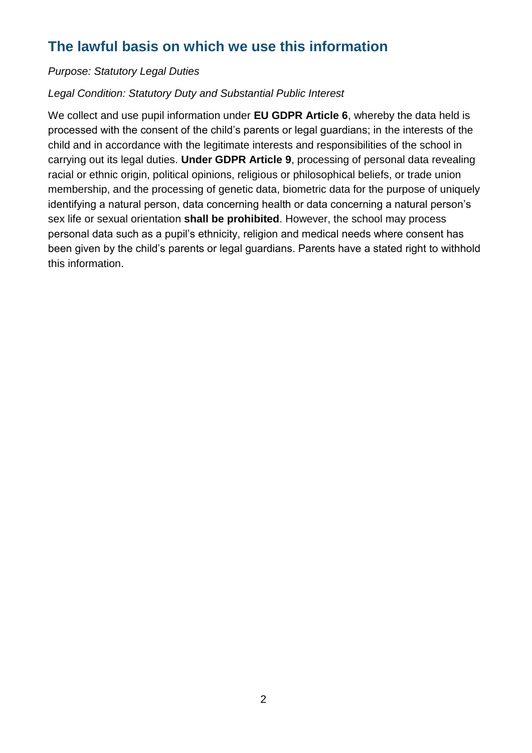## **The lawful basis on which we use this information**

#### *Purpose: Statutory Legal Duties*

#### *Legal Condition: Statutory Duty and Substantial Public Interest*

We collect and use pupil information under **EU GDPR Article 6**, whereby the data held is processed with the consent of the child's parents or legal guardians; in the interests of the child and in accordance with the legitimate interests and responsibilities of the school in carrying out its legal duties. **Under GDPR Article 9**, processing of personal data revealing racial or ethnic origin, political opinions, religious or philosophical beliefs, or trade union membership, and the processing of genetic data, biometric data for the purpose of uniquely identifying a natural person, data concerning health or data concerning a natural person's sex life or sexual orientation **shall be prohibited**. However, the school may process personal data such as a pupil's ethnicity, religion and medical needs where consent has been given by the child's parents or legal guardians. Parents have a stated right to withhold this information.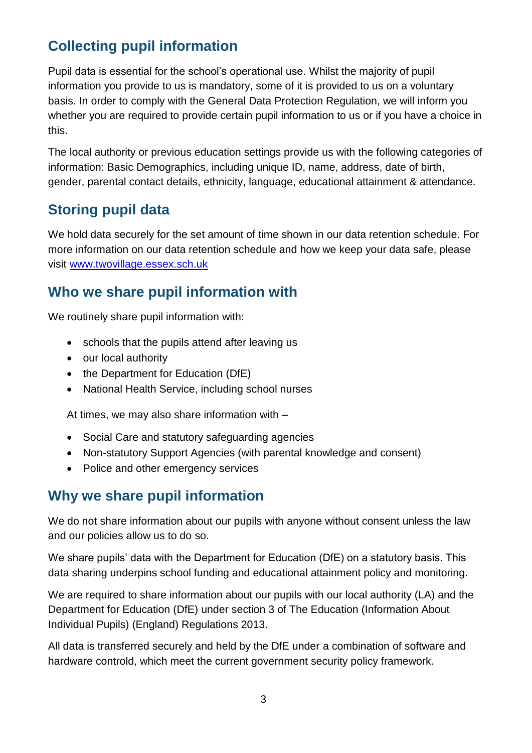# **Collecting pupil information**

Pupil data is essential for the school's operational use. Whilst the majority of pupil information you provide to us is mandatory, some of it is provided to us on a voluntary basis. In order to comply with the General Data Protection Regulation, we will inform you whether you are required to provide certain pupil information to us or if you have a choice in this.

The local authority or previous education settings provide us with the following categories of information: Basic Demographics, including unique ID, name, address, date of birth, gender, parental contact details, ethnicity, language, educational attainment & attendance.

### **Storing pupil data**

We hold data securely for the set amount of time shown in our data retention schedule. For more information on our data retention schedule and how we keep your data safe, please visit [www.twovillage.essex.sch.uk](http://www.twovillage.essex.sch.uk/)

### **Who we share pupil information with**

We routinely share pupil information with:

- schools that the pupils attend after leaving us
- our local authority
- the Department for Education (DfE)
- National Health Service, including school nurses

At times, we may also share information with –

- Social Care and statutory safeguarding agencies
- Non-statutory Support Agencies (with parental knowledge and consent)
- Police and other emergency services

#### **Why we share pupil information**

We do not share information about our pupils with anyone without consent unless the law and our policies allow us to do so.

We share pupils' data with the Department for Education (DfE) on a statutory basis. This data sharing underpins school funding and educational attainment policy and monitoring.

We are required to share information about our pupils with our local authority (LA) and the Department for Education (DfE) under section 3 of The Education (Information About Individual Pupils) (England) Regulations 2013.

All data is transferred securely and held by the DfE under a combination of software and hardware controld, which meet the current government security policy framework.